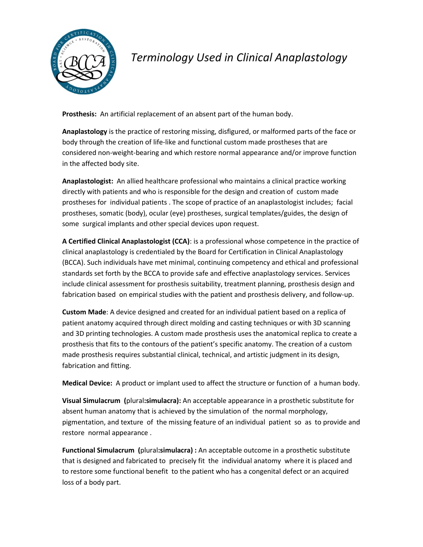

## *Terminology Used in Clinical Anaplastology*

**Prosthesis:** An artificial replacement of an absent part of the human body.

**Anaplastology** is the practice of restoring missing, disfigured, or malformed parts of the face or body through the creation of life-like and functional custom made prostheses that are considered non-weight-bearing and which restore normal appearance and/or improve function in the affected body site.

**Anaplastologist:** An allied healthcare professional who maintains a clinical practice working directly with patients and who is responsible for the design and creation of custom made prostheses for individual patients . The scope of practice of an anaplastologist includes; facial prostheses, somatic (body), ocular (eye) prostheses, surgical templates/guides, the design of some surgical implants and other special devices upon request.

**A Certified Clinical Anaplastologist (CCA)**: is a professional whose competence in the practice of clinical anaplastology is credentialed by the Board for Certification in Clinical Anaplastology (BCCA). Such individuals have met minimal, continuing competency and ethical and professional standards set forth by the BCCA to provide safe and effective anaplastology services. Services include clinical assessment for prosthesis suitability, treatment planning, prosthesis design and fabrication based on empirical studies with the patient and prosthesis delivery, and follow-up.

**Custom Made**: A device designed and created for an individual patient based on a replica of patient anatomy acquired through direct molding and casting techniques or with 3D scanning and 3D printing technologies. A custom made prosthesis uses the anatomical replica to create a prosthesis that fits to the contours of the patient's specific anatomy. The creation of a custom made prosthesis requires substantial clinical, technical, and artistic judgment in its design, fabrication and fitting.

**Medical Device:** A product or implant used to affect the structure or function of a human body.

**Visual Simulacrum (**plural**:simulacra):** An acceptable appearance in a prosthetic substitute for absent human anatomy that is achieved by the simulation of the normal morphology, pigmentation, and texture of the missing feature of an individual patient so as to provide and restore normal appearance .

**Functional Simulacrum (**plural**:simulacra) :** An acceptable outcome in a prosthetic substitute that is designed and fabricated to precisely fit the individual anatomy where it is placed and to restore some functional benefit to the patient who has a congenital defect or an acquired loss of a body part.